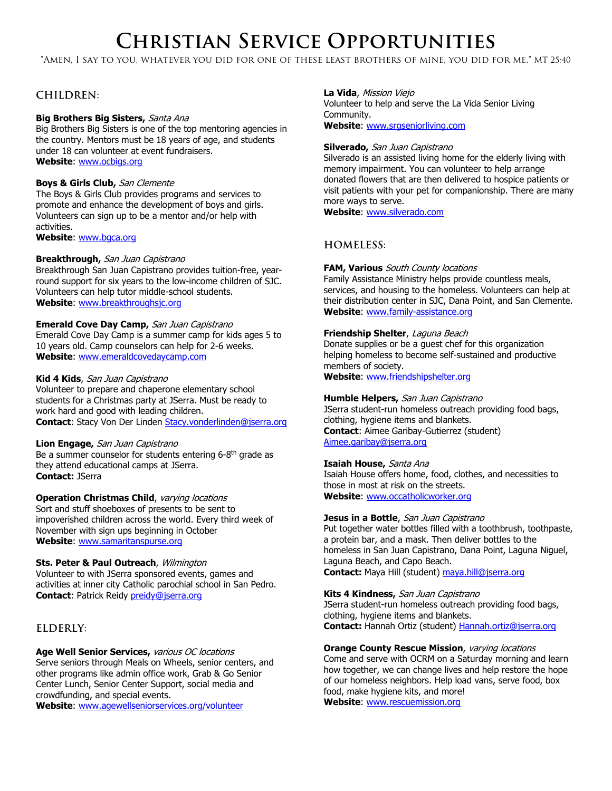# **Christian Service Opportunities**

"Amen, I say to you, whatever you did for one of these least brothers of mine, you did for me." MT 25:40

# **CHILDREN:**

#### **Big Brothers Big Sisters,** Santa Ana

Big Brothers Big Sisters is one of the top mentoring agencies in the country. Mentors must be 18 years of age, and students under 18 can volunteer at event fundraisers. **Website**: [www.ocbigs.org](http://www.ocbigs.org/)

#### **Boys & Girls Club,** San Clemente

The Boys & Girls Club provides programs and services to promote and enhance the development of boys and girls. Volunteers can sign up to be a mentor and/or help with activities.

**Website**: [www.bgca.org](http://www.bgca.org/)

#### **Breakthrough,** San Juan Capistrano

Breakthrough San Juan Capistrano provides tuition-free, yearround support for six years to the low-income children of SJC. Volunteers can help tutor middle-school students. **Website**: [www.breakthroughsjc.org](http://www.breakthroughsjc.org/)

#### **Emerald Cove Day Camp,** San Juan Capistrano

Emerald Cove Day Camp is a summer camp for kids ages 5 to 10 years old. Camp counselors can help for 2-6 weeks. **Website**: [www.emeraldcovedaycamp.com](http://www.emeraldcovedaycamp.com/)

#### **Kid 4 Kids**, San Juan Capistrano

Volunteer to prepare and chaperone elementary school students for a Christmas party at JSerra. Must be ready to work hard and good with leading children. **Contact**: Stacy Von Der Linden [Stacy.vonderlinden@jserra.org](mailto:Stacy.vonderlinden@jserra.org)

#### **Lion Engage,** San Juan Capistrano

Be a summer counselor for students entering 6-8th grade as they attend educational camps at JSerra. **Contact:** JSerra

### **Operation Christmas Child**, varying locations

Sort and stuff shoeboxes of presents to be sent to impoverished children across the world. Every third week of November with sign ups beginning in October **Website**: [www.samaritanspurse.org](http://www.samaritanspurse.org/)

#### **Sts. Peter & Paul Outreach**, Wilmington

Volunteer to with JSerra sponsored events, games and activities at inner city Catholic parochial school in San Pedro. **Contact**: Patrick Reidy [preidy@jserra.org](mailto:preidy@jserra.org)

# **ELDERLY:**

#### **Age Well Senior Services,** various OC locations

Serve seniors through Meals on Wheels, senior centers, and other programs like admin office work, Grab & Go Senior Center Lunch, Senior Center Support, social media and crowdfunding, and special events.

**Website**: [www.agewellseniorservices.org/volunteer](http://www.agewellseniorservices.org/volunteer)

#### **La Vida**, Mission Viejo

Volunteer to help and serve the La Vida Senior Living Community.

**Website**: [www.srgseniorliving.com](http://www.srgseniorliving.com/)

#### **Silverado,** San Juan Capistrano

Silverado is an assisted living home for the elderly living with memory impairment. You can volunteer to help arrange donated flowers that are then delivered to hospice patients or visit patients with your pet for companionship. There are many more ways to serve.

**Website**: [www.silverado.com](http://www.silverado.com/)

# **HOMELESS:**

#### **FAM, Various** South County locations

Family Assistance Ministry helps provide countless meals, services, and housing to the homeless. Volunteers can help at their distribution center in SJC, Dana Point, and San Clemente. **Website**: [www.family-assistance.org](http://www.family-assistance.org/)

### **Friendship Shelter**, Laguna Beach

Donate supplies or be a guest chef for this organization helping homeless to become self-sustained and productive members of society. **Website**: [www.friendshipshelter.org](http://www.friendshipshelter.org/)

**Humble Helpers,** San Juan Capistrano JSerra student-run homeless outreach providing food bags, clothing, hygiene items and blankets. **Contact**: Aimee Garibay-Gutierrez (student) [Aimee.garibay@jserra.org](mailto:Aimee.garibay@jserra.org)

#### **Isaiah House,** Santa Ana

Isaiah House offers home, food, clothes, and necessities to those in most at risk on the streets. **Website**: [www.occatholicworker.org](http://www.occatholicworker.org/)

#### **Jesus in a Bottle**, San Juan Capistrano

Put together water bottles filled with a toothbrush, toothpaste, a protein bar, and a mask. Then deliver bottles to the homeless in San Juan Capistrano, Dana Point, Laguna Niguel, Laguna Beach, and Capo Beach. **Contact:** Maya Hill (student) [maya.hill@jserra.org](mailto:maya.hill@jserra.org)

#### **Kits 4 Kindness,** San Juan Capistrano

JSerra student-run homeless outreach providing food bags, clothing, hygiene items and blankets. **Contact:** Hannah Ortiz (student) [Hannah.ortiz@jserra.org](mailto:Hannah.ortiz@jserra.org) 

#### **Orange County Rescue Mission**, varying locations

Come and serve with OCRM on a Saturday morning and learn how together, we can change lives and help restore the hope of our homeless neighbors. Help load vans, serve food, box food, make hygiene kits, and more!

**Website**: [www.rescuemission.org](http://www.rescuemission.org/)